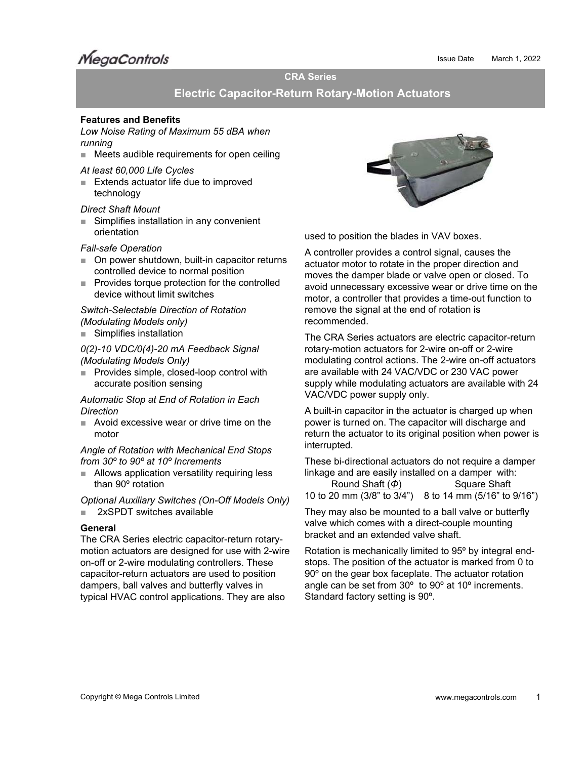# **MegaControls**

# **CRA Series**

# **Electric Capacitor-Return Rotary-Motion Actuators**

## **Features and Benefits**

*Low Noise Rating of Maximum 55 dBA when running*

■ Meets audible requirements for open ceiling

*At least 60,000 Life Cycles* 

■ Extends actuator life due to improved technology

#### *Direct Shaft Mount*

■ Simplifies installation in any convenient orientation

# *Fail-safe Operation*

- On power shutdown, built-in capacitor returns controlled device to normal position
- Provides torque protection for the controlled device without limit switches

*Switch-Selectable Direction of Rotation (Modulating Models only)* 

■ Simplifies installation

*0(2)-10 VDC/0(4)-20 mA Feedback Signal (Modulating Models Only)*

■ Provides simple, closed-loop control with accurate position sensing

*Automatic Stop at End of Rotation in Each Direction* 

■ Avoid excessive wear or drive time on the motor

*Angle of Rotation with Mechanical End Stops from 30º to 90º at 10º Increments*

■ Allows application versatility requiring less than 90º rotation

*Optional Auxiliary Switches (On-Off Models Only)* 

■ 2xSPDT switches available

# **General**

The CRA Series electric capacitor-return rotarymotion actuators are designed for use with 2-wire on-off or 2-wire modulating controllers. These capacitor-return actuators are used to position dampers, ball valves and butterfly valves in typical HVAC control applications. They are also



used to position the blades in VAV boxes.

A controller provides a control signal, causes the actuator motor to rotate in the proper direction and moves the damper blade or valve open or closed. To avoid unnecessary excessive wear or drive time on the motor, a controller that provides a time-out function to remove the signal at the end of rotation is recommended.

The CRA Series actuators are electric capacitor-return rotary-motion actuators for 2-wire on-off or 2-wire modulating control actions. The 2-wire on-off actuators are available with 24 VAC/VDC or 230 VAC power supply while modulating actuators are available with 24 VAC/VDC power supply only.

A built-in capacitor in the actuator is charged up when power is turned on. The capacitor will discharge and return the actuator to its original position when power is interrupted.

These bi-directional actuators do not require a damper linkage and are easily installed on a damper with:

Round Shaft (Φ) Square Shaft 10 to 20 mm (3/8" to 3/4") 8 to 14 mm (5/16" to 9/16")

They may also be mounted to a ball valve or butterfly valve which comes with a direct-couple mounting bracket and an extended valve shaft.

Rotation is mechanically limited to 95º by integral endstops. The position of the actuator is marked from 0 to 90º on the gear box faceplate. The actuator rotation angle can be set from 30º to 90º at 10º increments. Standard factory setting is 90º.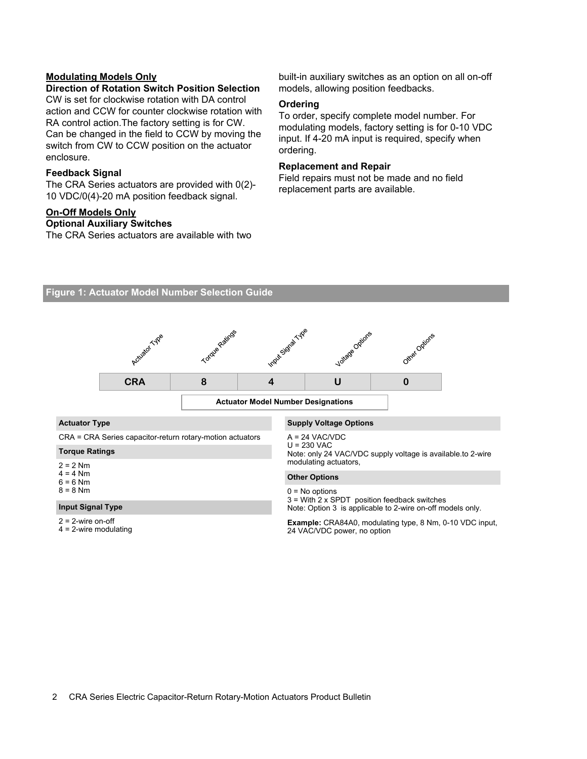# **Modulating Models Only**

#### **Direction of Rotation Switch Position Selection**

CW is set for clockwise rotation with DA control action and CCW for counter clockwise rotation with RA control action.The factory setting is for CW. Can be changed in the field to CCW by moving the switch from CW to CCW position on the actuator enclosure.

# **Feedback Signal**

The CRA Series actuators are provided with 0(2)- 10 VDC/0(4)-20 mA position feedback signal.

# **On-Off Models Only**

### **Optional Auxiliary Switches**

The CRA Series actuators are available with two

built-in auxiliary switches as an option on all on-off models, allowing position feedbacks.

# **Ordering**

To order, specify complete model number. For modulating models, factory setting is for 0-10 VDC input. If 4-20 mA input is required, specify when ordering.

#### **Replacement and Repair**

Field repairs must not be made and no field replacement parts are available.



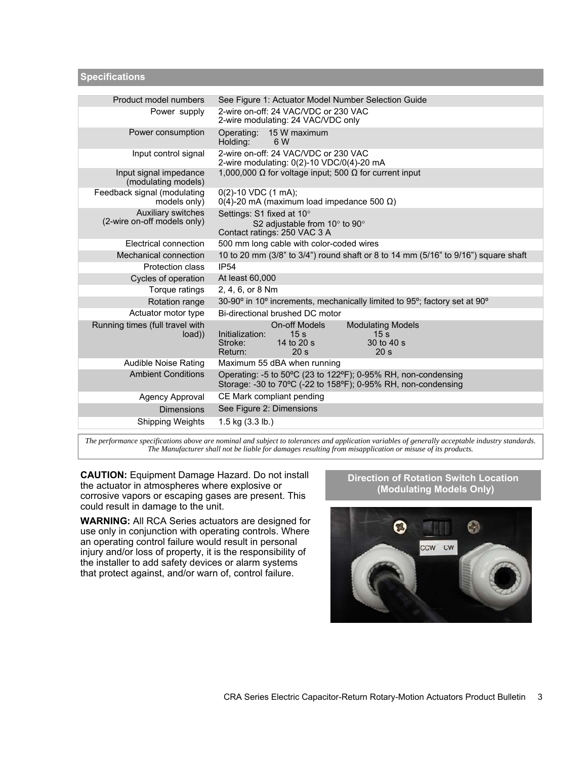**Specifications** 

| Product model numbers                                    | See Figure 1: Actuator Model Number Selection Guide                                                                                                                                               |
|----------------------------------------------------------|---------------------------------------------------------------------------------------------------------------------------------------------------------------------------------------------------|
| Power supply                                             | 2-wire on-off: 24 VAC/VDC or 230 VAC<br>2-wire modulating: 24 VAC/VDC only                                                                                                                        |
| Power consumption                                        | Operating: 15 W maximum<br>Holding:<br>6 W                                                                                                                                                        |
| Input control signal                                     | 2-wire on-off: 24 VAC/VDC or 230 VAC<br>2-wire modulating: 0(2)-10 VDC/0(4)-20 mA                                                                                                                 |
| Input signal impedance<br>(modulating models)            | 1,000,000 $\Omega$ for voltage input; 500 $\Omega$ for current input                                                                                                                              |
| Feedback signal (modulating<br>models only)              | $0(2)$ -10 VDC (1 mA);<br>$0(4)$ -20 mA (maximum load impedance 500 $\Omega$ )                                                                                                                    |
| <b>Auxiliary switches</b><br>(2-wire on-off models only) | Settings: S1 fixed at 10°<br>S2 adjustable from $10^{\circ}$ to $90^{\circ}$<br>Contact ratings: 250 VAC 3 A                                                                                      |
| Electrical connection                                    | 500 mm long cable with color-coded wires                                                                                                                                                          |
| Mechanical connection                                    | 10 to 20 mm (3/8" to 3/4") round shaft or 8 to 14 mm (5/16" to 9/16") square shaft                                                                                                                |
| Protection class                                         | <b>IP54</b>                                                                                                                                                                                       |
| Cycles of operation                                      | At least 60,000                                                                                                                                                                                   |
| Torque ratings                                           | 2, 4, 6, or 8 Nm                                                                                                                                                                                  |
| Rotation range                                           | 30-90° in 10° increments, mechanically limited to 95°; factory set at 90°                                                                                                                         |
| Actuator motor type                                      | Bi-directional brushed DC motor                                                                                                                                                                   |
| Running times (full travel with<br>load)                 | <b>On-off Models</b><br><b>Modulating Models</b><br>Initialization:<br>15 <sub>s</sub><br>15 <sub>s</sub><br>14 to 20 s<br>Stroke:<br>30 to 40 s<br>20 <sub>s</sub><br>Return:<br>20 <sub>s</sub> |
| <b>Audible Noise Rating</b>                              | Maximum 55 dBA when running                                                                                                                                                                       |
| <b>Ambient Conditions</b>                                | Operating: -5 to 50°C (23 to 122°F); 0-95% RH, non-condensing<br>Storage: -30 to 70°C (-22 to 158°F); 0-95% RH, non-condensing                                                                    |
| Agency Approval                                          | CE Mark compliant pending                                                                                                                                                                         |
| <b>Dimensions</b>                                        | See Figure 2: Dimensions                                                                                                                                                                          |
| <b>Shipping Weights</b>                                  | $1.5$ kg $(3.3$ lb.)                                                                                                                                                                              |
|                                                          |                                                                                                                                                                                                   |

*The performance specifications above are nominal and subject to tolerances and application variables of generally acceptable industry standards. The Manufacturer shall not be liable for damages resulting from misapplication or misuse of its products.* 

**CAUTION:** Equipment Damage Hazard. Do not install the actuator in atmospheres where explosive or corrosive vapors or escaping gases are present. This could result in damage to the unit.

**WARNING:** All RCA Series actuators are designed for use only in conjunction with operating controls. Where an operating control failure would result in personal injury and/or loss of property, it is the responsibility of the installer to add safety devices or alarm systems that protect against, and/or warn of, control failure.

# **Direction of Rotation Switch Location (Modulating Models Only)**